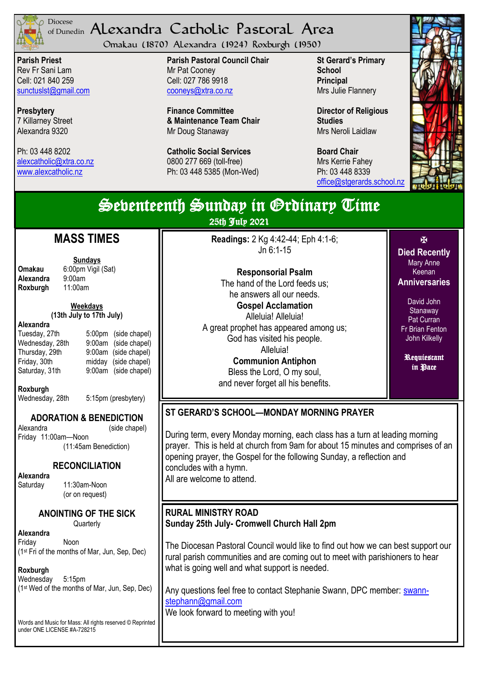

## <sup>Diocese</sup> Alexandra Catholic Pastoral Area of Dunedin

Omakau (1870) Alexandra (1924) Roxburgh (1950)

**Parish Priest** Rev Fr Sani Lam Cell: 021 840 259 [sunctuslst@gmail.com](mailto:mailto:sunctuslst@gmail.com)

**Presbytery** 7 Killarney Street Alexandra 9320

Ph: 03 448 8202 [alexcatholic@xtra.co.nz](mailto:mailto:alexcatholic@xtra.co.nz) www.alexcatholic.nz

**Parish Pastoral Council Chair** Mr Pat Cooney Cell: 027 786 9918 cooneys@xtra.co.nz

**Finance Committee & Maintenance Team Chair** Mr Doug Stanaway

**Catholic Social Services**  0800 277 669 (toll-free) Ph: 03 448 5385 (Mon-Wed)

**St Gerard's Primary School Principal** Mrs Julie Flannery

**Director of Religious Studies** Mrs Neroli Laidlaw

**Board Chair** Mrs Kerrie Fahey Ph: 03 448 8339 [office@stgerards.school.nz](mailto:mailto:office@stgerards.school.nz)



| Sebenteenth Sunday in Grdinary Time<br>25th July 2021                                                                                                                                                                                                                                                                                                                                                           |                                                                                                                                                                                                                                                                                                                                                                                                                                         |                                                                                                                                                                                              |  |
|-----------------------------------------------------------------------------------------------------------------------------------------------------------------------------------------------------------------------------------------------------------------------------------------------------------------------------------------------------------------------------------------------------------------|-----------------------------------------------------------------------------------------------------------------------------------------------------------------------------------------------------------------------------------------------------------------------------------------------------------------------------------------------------------------------------------------------------------------------------------------|----------------------------------------------------------------------------------------------------------------------------------------------------------------------------------------------|--|
| <b>MASS TIMES</b><br><b>Sundays</b><br><b>Omakau</b><br>6:00pm Vigil (Sat)<br>Alexandra<br>9:00am<br>11:00am<br>Roxburgh<br>Weekdays<br>(13th July to 17th July)<br>Alexandra<br>Tuesday, 27th<br>5:00pm (side chapel)<br>Wednesday, 28th<br>$9:00$ am<br>(side chapel)<br>9:00am (side chapel)<br>Thursday, 29th<br>Friday, 30th<br>midday (side chapel)<br>Saturday, 31th<br>9:00am (side chapel)<br>Roxburgh | Readings: 2 Kg 4:42-44; Eph 4:1-6;<br>Jn 6:1-15<br><b>Responsorial Psalm</b><br>The hand of the Lord feeds us;<br>he answers all our needs.<br><b>Gospel Acclamation</b><br>Alleluia! Alleluia!<br>A great prophet has appeared among us;<br>God has visited his people.<br>Alleluia!<br><b>Communion Antiphon</b><br>Bless the Lord, O my soul,<br>and never forget all his benefits.                                                  | 图<br><b>Died Recently</b><br><b>Mary Anne</b><br>Keenan<br><b>Anniversaries</b><br>David John<br>Stanaway<br>Pat Curran<br><b>Fr Brian Fenton</b><br>John Kilkelly<br>Requiestant<br>in Pace |  |
| Wednesday, 28th<br>5:15pm (presbytery)<br><b>ADORATION &amp; BENEDICTION</b><br>Alexandra<br>(side chapel)<br>Friday 11:00am-Noon<br>(11:45am Benediction)<br><b>RECONCILIATION</b><br>Alexandra<br>11:30am-Noon<br>Saturday<br>(or on request)                                                                                                                                                                 | ST GERARD'S SCHOOL-MONDAY MORNING PRAYER<br>During term, every Monday morning, each class has a turn at leading morning<br>prayer. This is held at church from 9am for about 15 minutes and comprises of an<br>opening prayer, the Gospel for the following Sunday, a reflection and<br>concludes with a hymn.<br>All are welcome to attend.                                                                                            |                                                                                                                                                                                              |  |
| ANOINTING OF THE SICK<br>Quarterly<br>Alexandra<br>Friday<br>Noon<br>(1 <sup>st</sup> Fri of the months of Mar, Jun, Sep, Dec)<br>Roxburgh<br>Wednesday<br>$5:15$ pm<br>(1st Wed of the months of Mar, Jun, Sep, Dec)<br>Words and Music for Mass: All rights reserved © Reprinted<br>under ONE LICENSE #A-728215                                                                                               | <b>RURAL MINISTRY ROAD</b><br>Sunday 25th July- Cromwell Church Hall 2pm<br>The Diocesan Pastoral Council would like to find out how we can best support our<br>rural parish communities and are coming out to meet with parishioners to hear<br>what is going well and what support is needed.<br>Any questions feel free to contact Stephanie Swann, DPC member: swann-<br>stephann@gmail.com<br>We look forward to meeting with you! |                                                                                                                                                                                              |  |